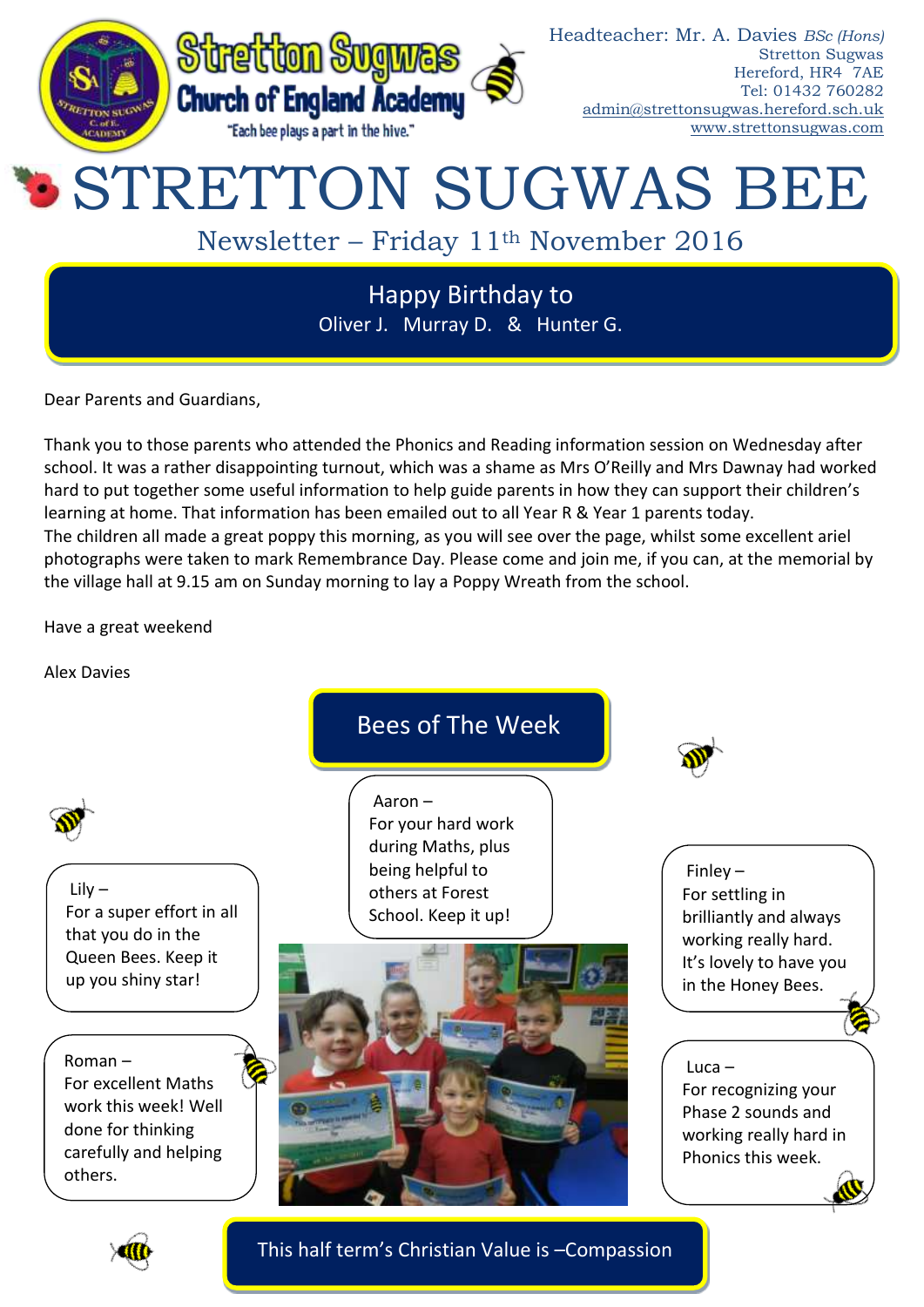

Dear Parents and Guardians,

Thank you to those parents who attended the Phonics and Reading information session on Wednesday after school. It was a rather disappointing turnout, which was a shame as Mrs O'Reilly and Mrs Dawnay had worked hard to put together some useful information to help guide parents in how they can support their children's learning at home. That information has been emailed out to all Year R & Year 1 parents today. The children all made a great poppy this morning, as you will see over the page, whilst some excellent ariel photographs were taken to mark Remembrance Day. Please come and join me, if you can, at the memorial by the village hall at 9.15 am on Sunday morning to lay a Poppy Wreath from the school.

Have a great weekend

Alex Davies



This half term's Christian Value is –Compassion